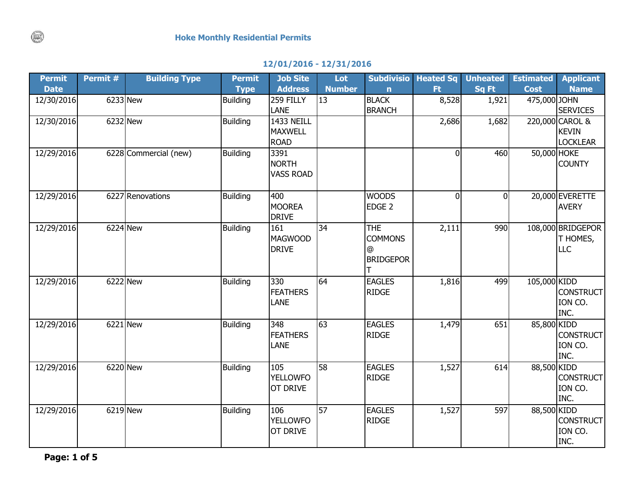## **12/01/2016 - 12/31/2016**

| <b>Permit</b> | Permit # | <b>Building Type</b>  | <b>Permit</b>   | <b>Job Site</b>                             | Lot           | <b>Subdivisio</b>                                     | <b>Heated Sq</b> | <b>Unheated</b> | <b>Estimated</b> | <b>Applicant</b>                                   |
|---------------|----------|-----------------------|-----------------|---------------------------------------------|---------------|-------------------------------------------------------|------------------|-----------------|------------------|----------------------------------------------------|
| <b>Date</b>   |          |                       | <b>Type</b>     | <b>Address</b>                              | <b>Number</b> | $\mathbf n$                                           | <b>Ft</b>        | Sq Ft           | <b>Cost</b>      | <b>Name</b>                                        |
| 12/30/2016    |          | 6233 New              | <b>Building</b> | 259 FILLY<br>LANE                           | 13            | <b>BLACK</b><br><b>BRANCH</b>                         | 8,528            | 1,921           | 475,000 JOHN     | <b>SERVICES</b>                                    |
| 12/30/2016    |          | 6232 New              | <b>Building</b> | 1433 NEILL<br><b>MAXWELL</b><br><b>ROAD</b> |               |                                                       | 2,686            | 1,682           |                  | 220,000 CAROL &<br><b>KEVIN</b><br><b>LOCKLEAR</b> |
| 12/29/2016    |          | 6228 Commercial (new) | <b>Building</b> | 3391<br><b>NORTH</b><br><b>VASS ROAD</b>    |               |                                                       | $\overline{0}$   | 460             | 50,000 HOKE      | <b>COUNTY</b>                                      |
| 12/29/2016    |          | 6227 Renovations      | <b>Building</b> | 400<br><b>MOOREA</b><br><b>DRIVE</b>        |               | <b>WOODS</b><br>EDGE <sub>2</sub>                     | $\overline{0}$   | $\Omega$        |                  | 20,000 EVERETTE<br><b>AVERY</b>                    |
| 12/29/2016    |          | <b>6224</b> New       | <b>Building</b> | 161<br><b>MAGWOOD</b><br><b>DRIVE</b>       | 34            | <b>THE</b><br><b>COMMONS</b><br>@<br><b>BRIDGEPOR</b> | 2,111            | 990             |                  | 108,000 BRIDGEPOR<br>T HOMES,<br><b>LLC</b>        |
| 12/29/2016    |          | <b>6222</b> New       | <b>Building</b> | 330<br><b>FEATHERS</b><br>LANE              | 64            | <b>EAGLES</b><br><b>RIDGE</b>                         | 1,816            | 499             | 105,000 KIDD     | <b>CONSTRUCT</b><br>ION CO.<br>INC.                |
| 12/29/2016    |          | 6221 New              | <b>Building</b> | 348<br><b>FEATHERS</b><br>LANE              | 63            | <b>EAGLES</b><br><b>RIDGE</b>                         | 1,479            | 651             | 85,800 KIDD      | <b>CONSTRUCT</b><br>ION CO.<br>INC.                |
| 12/29/2016    |          | 6220 New              | <b>Building</b> | 105<br><b>YELLOWFO</b><br>OT DRIVE          | 58            | <b>EAGLES</b><br><b>RIDGE</b>                         | 1,527            | 614             | 88,500 KIDD      | <b>CONSTRUCT</b><br>ION CO.<br>INC.                |
| 12/29/2016    |          | 6219 New              | <b>Building</b> | 106<br><b>YELLOWFO</b><br>OT DRIVE          | 57            | <b>EAGLES</b><br><b>RIDGE</b>                         | 1,527            | 597             | 88,500 KIDD      | <b>CONSTRUCT</b><br>ION CO.<br>INC.                |

**Page: 1 of 5**

 $(\Box)$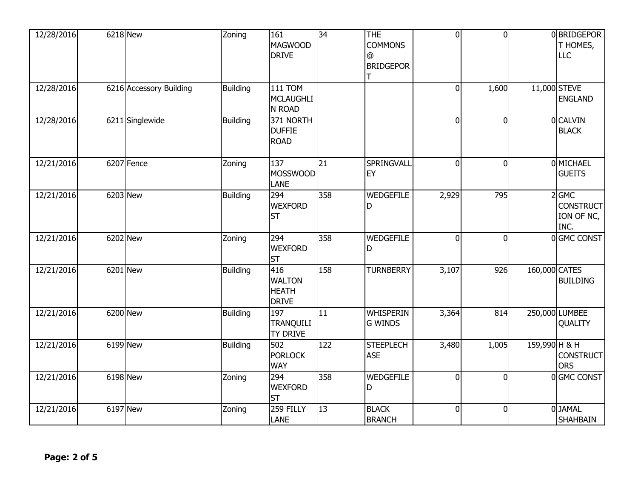| 12/28/2016 | 6218 New                | Zoning          | 161<br><b>MAGWOOD</b><br><b>DRIVE</b>                | 34  | <b>THE</b><br><b>COMMONS</b><br>@<br><b>BRIDGEPOR</b> | $\overline{0}$ | $\overline{0}$ |               | 0 BRIDGEPOR<br>T HOMES,<br><b>LLC</b>      |
|------------|-------------------------|-----------------|------------------------------------------------------|-----|-------------------------------------------------------|----------------|----------------|---------------|--------------------------------------------|
| 12/28/2016 | 6216 Accessory Building | <b>Building</b> | <b>111 TOM</b><br><b>MCLAUGHLI</b><br>N ROAD         |     |                                                       | $\overline{0}$ | 1,600          |               | 11,000 STEVE<br><b>ENGLAND</b>             |
| 12/28/2016 | 6211 Singlewide         | <b>Building</b> | 371 NORTH<br><b>DUFFIE</b><br><b>ROAD</b>            |     |                                                       | $\overline{0}$ | $\overline{0}$ |               | 0 CALVIN<br><b>BLACK</b>                   |
| 12/21/2016 | 6207 Fence              | Zoning          | 137<br>MOSSWOOD<br><b>LANE</b>                       | 21  | SPRINGVALL<br>EY                                      | $\overline{0}$ | $\mathbf 0$    |               | 0 MICHAEL<br><b>GUEITS</b>                 |
| 12/21/2016 | 6203 New                | <b>Building</b> | 294<br><b>WEXFORD</b><br><b>ST</b>                   | 358 | <b>WEDGEFILE</b><br>D                                 | 2,929          | 795            |               | $2$ GMC<br>CONSTRUCT<br>ION OF NC,<br>INC. |
| 12/21/2016 | 6202 New                | Zoning          | 294<br><b>WEXFORD</b><br><b>ST</b>                   | 358 | <b>WEDGEFILE</b><br>D                                 | $\overline{0}$ | $\mathbf{0}$   |               | 0 GMC CONST                                |
| 12/21/2016 | <b>6201 New</b>         | Building        | 416<br><b>WALTON</b><br><b>HEATH</b><br><b>DRIVE</b> | 158 | <b>TURNBERRY</b>                                      | 3,107          | 926            | 160,000 CATES | <b>BUILDING</b>                            |
| 12/21/2016 | 6200 New                | Building        | 197<br>TRANQUILI<br><b>TY DRIVE</b>                  | 11  | <b>WHISPERIN</b><br><b>G WINDS</b>                    | 3,364          | 814            |               | 250,000 LUMBEE<br>QUALITY                  |
| 12/21/2016 | <b>6199 New</b>         | Building        | 502<br><b>PORLOCK</b><br><b>WAY</b>                  | 122 | <b>STEEPLECH</b><br><b>ASE</b>                        | 3,480          | 1,005          | 159,990 H & H | CONSTRUCT<br><b>ORS</b>                    |
| 12/21/2016 | <b>6198 New</b>         | Zoning          | 294<br><b>WEXFORD</b><br><b>ST</b>                   | 358 | <b>WEDGEFILE</b><br>D                                 | $\overline{0}$ | $\mathbf{0}$   |               | 0 GMC CONST                                |
| 12/21/2016 | <b>6197 New</b>         | Zoning          | 259 FILLY<br><b>LANE</b>                             | 13  | <b>BLACK</b><br><b>BRANCH</b>                         | $\overline{0}$ | $\overline{0}$ |               | 0JAMAL<br><b>SHAHBAIN</b>                  |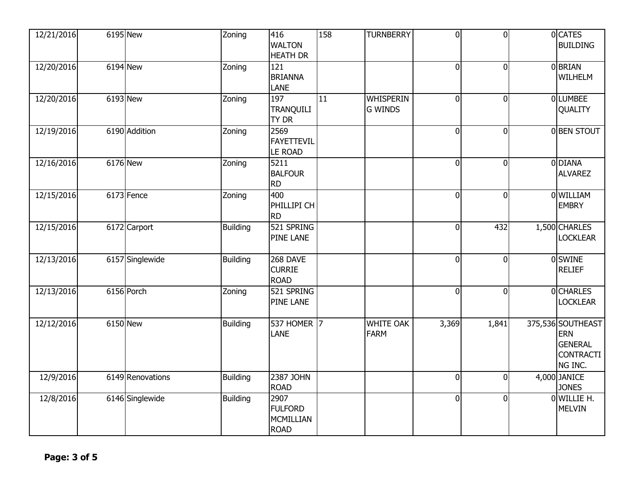| 12/21/2016 | <b>6195 New</b>  | Zoning          | 416<br><b>WALTON</b><br><b>HEATH DR</b>            | 158             | <b>TURNBERRY</b>                   | $\overline{0}$ | $\overline{0}$ | 0 CATES<br><b>BUILDING</b>                                                       |
|------------|------------------|-----------------|----------------------------------------------------|-----------------|------------------------------------|----------------|----------------|----------------------------------------------------------------------------------|
| 12/20/2016 | <b>6194</b> New  | Zoning          | 121<br><b>BRIANNA</b><br>LANE                      |                 |                                    | 0              | $\Omega$       | 0 BRIAN<br>WILHELM                                                               |
| 12/20/2016 | 6193 New         | Zoning          | 197<br>TRANQUILI<br>TY DR                          | $\overline{11}$ | <b>WHISPERIN</b><br><b>G WINDS</b> | 0              | $\Omega$       | 0LUMBEE<br>QUALITY                                                               |
| 12/19/2016 | 6190 Addition    | Zoning          | 2569<br><b>FAYETTEVIL</b><br>LE ROAD               |                 |                                    | 0              | $\Omega$       | 0 BEN STOUT                                                                      |
| 12/16/2016 | 6176 New         | Zoning          | 5211<br><b>BALFOUR</b><br><b>RD</b>                |                 |                                    | 0              | $\Omega$       | 0 DIANA<br><b>ALVAREZ</b>                                                        |
| 12/15/2016 | 6173 Fence       | Zoning          | 400<br>PHILLIPI CH<br><b>RD</b>                    |                 |                                    | 0              | $\Omega$       | 0 WILLIAM<br><b>EMBRY</b>                                                        |
| 12/15/2016 | 6172 Carport     | <b>Building</b> | 521 SPRING<br><b>PINE LANE</b>                     |                 |                                    | 0              | 432            | 1,500 CHARLES<br><b>LOCKLEAR</b>                                                 |
| 12/13/2016 | 6157 Singlewide  | <b>Building</b> | 268 DAVE<br><b>CURRIE</b><br><b>ROAD</b>           |                 |                                    | 0              | $\Omega$       | 0 SWINE<br><b>RELIEF</b>                                                         |
| 12/13/2016 | 6156 Porch       | Zoning          | 521 SPRING<br>PINE LANE                            |                 |                                    | 0              | $\mathbf{0}$   | 0 CHARLES<br><b>LOCKLEAR</b>                                                     |
| 12/12/2016 | 6150 New         | <b>Building</b> | 537 HOMER 7<br><b>LANE</b>                         |                 | <b>WHITE OAK</b><br><b>FARM</b>    | 3,369          | 1,841          | 375,536 SOUTHEAST<br><b>ERN</b><br><b>GENERAL</b><br><b>CONTRACTI</b><br>NG INC. |
| 12/9/2016  | 6149 Renovations | <b>Building</b> | <b>2387 JOHN</b><br><b>ROAD</b>                    |                 |                                    | 0              | $\overline{0}$ | 4,000 JANICE<br><b>JONES</b>                                                     |
| 12/8/2016  | 6146 Singlewide  | <b>Building</b> | 2907<br><b>FULFORD</b><br>MCMILLIAN<br><b>ROAD</b> |                 |                                    | 0              | $\overline{0}$ | OWILLIE H.<br><b>MELVIN</b>                                                      |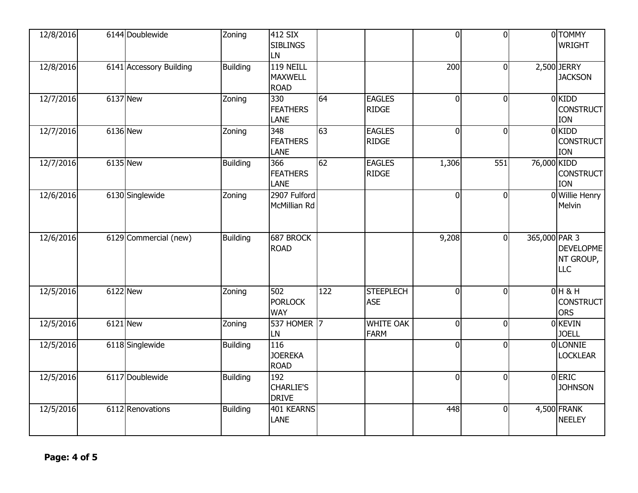| 12/8/2016 | 6144 Doublewide         | Zoning          | 412 SIX<br><b>SIBLINGS</b><br><b>LN</b>    |     |                                 | $\overline{0}$ | $\overline{0}$ |               | 0 TOMMY<br><b>WRIGHT</b>                   |
|-----------|-------------------------|-----------------|--------------------------------------------|-----|---------------------------------|----------------|----------------|---------------|--------------------------------------------|
| 12/8/2016 | 6141 Accessory Building | <b>Building</b> | 119 NEILL<br><b>MAXWELL</b><br><b>ROAD</b> |     |                                 | 200            | $\overline{0}$ |               | 2,500 JERRY<br><b>JACKSON</b>              |
| 12/7/2016 | <b>6137</b> New         | Zoning          | 330<br><b>FEATHERS</b><br><b>LANE</b>      | 64  | <b>EAGLES</b><br><b>RIDGE</b>   | $\overline{0}$ | $\overline{0}$ |               | $0$ KIDD<br><b>CONSTRUCT</b><br><b>ION</b> |
| 12/7/2016 | 6136 New                | Zoning          | 348<br><b>FEATHERS</b><br><b>LANE</b>      | 63  | <b>EAGLES</b><br><b>RIDGE</b>   | $\overline{0}$ | $\overline{0}$ |               | 0KIDD<br><b>CONSTRUCT</b><br><b>ION</b>    |
| 12/7/2016 | 6135 New                | <b>Building</b> | 366<br><b>FEATHERS</b><br>LANE             | 62  | <b>EAGLES</b><br><b>RIDGE</b>   | 1,306          | 551            | 76,000 KIDD   | <b>CONSTRUCT</b><br><b>ION</b>             |
| 12/6/2016 | 6130 Singlewide         | Zoning          | 2907 Fulford<br>McMillian Rd               |     |                                 | $\overline{0}$ | $\overline{0}$ |               | <b>OWillie Henry</b><br>Melvin             |
| 12/6/2016 | 6129 Commercial (new)   | <b>Building</b> | 687 BROCK<br><b>ROAD</b>                   |     |                                 | 9,208          | $\overline{0}$ | 365,000 PAR 3 | DEVELOPME<br>NT GROUP,<br><b>LLC</b>       |
| 12/5/2016 | 6122 New                | Zoning          | 502<br><b>PORLOCK</b><br><b>WAY</b>        | 122 | <b>STEEPLECH</b><br><b>ASE</b>  | $\overline{0}$ | $\overline{0}$ |               | $0H$ & H<br><b>CONSTRUCT</b><br>ORS        |
| 12/5/2016 | 6121 New                | Zoning          | 537 HOMER 7<br><b>LN</b>                   |     | <b>WHITE OAK</b><br><b>FARM</b> | $\overline{0}$ | $\overline{0}$ |               | 0 KEVIN<br><b>JOELL</b>                    |
| 12/5/2016 | 6118 Singlewide         | <b>Building</b> | 116<br><b>JOEREKA</b><br><b>ROAD</b>       |     |                                 | $\overline{0}$ | $\overline{0}$ |               | 0LONNIE<br><b>LOCKLEAR</b>                 |
| 12/5/2016 | 6117 Doublewide         | <b>Building</b> | 192<br><b>CHARLIE'S</b><br><b>DRIVE</b>    |     |                                 | $\overline{0}$ | $\overline{0}$ |               | 0 ERIC<br><b>JOHNSON</b>                   |
| 12/5/2016 | 6112 Renovations        | <b>Building</b> | 401 KEARNS<br>LANE                         |     |                                 | 448            | $\overline{0}$ |               | 4,500 FRANK<br><b>NEELEY</b>               |